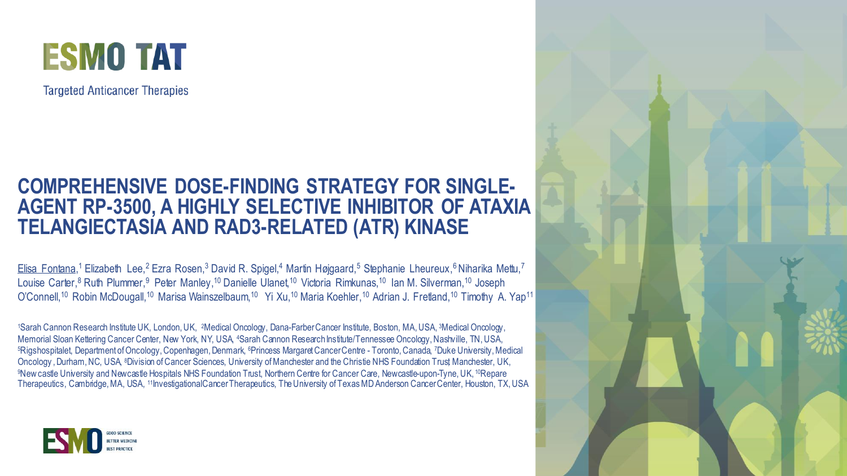

**Targeted Anticancer Therapies** 

#### **COMPREHENSIVE DOSE-FINDING STRATEGY FOR SINGLE-AGENT RP-3500, A HIGHLY SELECTIVE INHIBITOR OF ATAXIA TELANGIECTASIA AND RAD3-RELATED (ATR) KINASE**

Elisa Fontana,<sup>1</sup> Elizabeth Lee,<sup>2</sup> Ezra Rosen,<sup>3</sup> David R. Spigel,<sup>4</sup> Martin Højgaard,<sup>5</sup> Stephanie Lheureux,<sup>6</sup> Niharika Mettu,<sup>7</sup> Louise Carter,<sup>8</sup> Ruth Plummer,<sup>9</sup> Peter Manley,<sup>10</sup> Danielle Ulanet,<sup>10</sup> Victoria Rimkunas,<sup>10</sup> Ian M. Silverman,<sup>10</sup> Joseph O'Connell,<sup>10</sup> Robin McDougall,<sup>10</sup> Marisa Wainszelbaum,<sup>10</sup> Yi Xu,<sup>10</sup> Maria Koehler,<sup>10</sup> Adrian J. Fretland,<sup>10</sup> Timothy A. Yap<sup>11</sup>

<sup>1</sup>Sarah Cannon Research Institute UK, London, UK, 2Medical Oncology, Dana-FarberCancer Institute, Boston, MA, USA, 3Medical Oncology, Memorial Sloan Kettering Cancer Center, New York, NY, USA, 4Sarah Cannon Research Institute/Tennessee Oncology, Nashville, TN, USA, <sup>5</sup>Rigshospitalet, Department of Oncology, Copenhagen, Denmark, <sup>6</sup>Princess Margaret Cancer Centre - Toronto, Canada, 7Duke University, Medical Oncology, Durham, NC, USA, <sup>8</sup>Division of Cancer Sciences, University of Manchester and the Christie NHS Foundation Trust Manchester, UK, <sup>9</sup>New castle University and Newcastle Hospitals NHS Foundation Trust, Northern Centre for Cancer Care, Newcastle-upon-Tyne, UK, 10Repare Therapeutics, Cambridge, MA, USA, 11InvestigationalCancer Therapeutics, The University of Texas MD Anderson Cancer Center, Houston, TX, USA



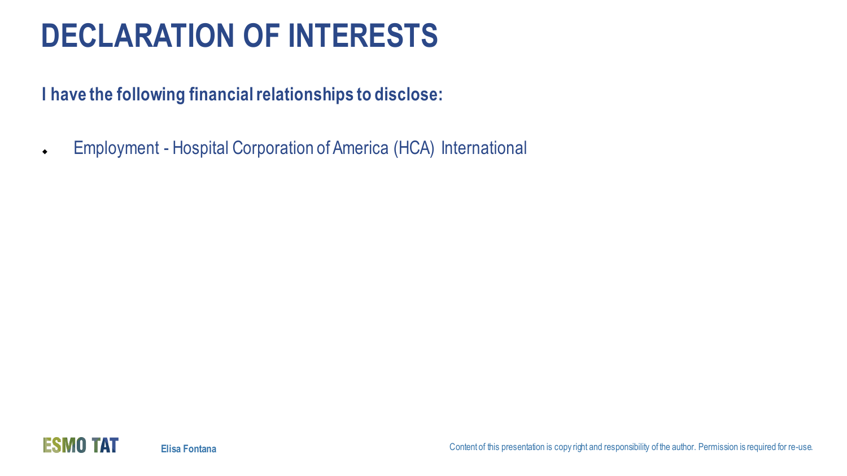# **DECLARATION OF INTERESTS**

**I have the following financial relationships to disclose:**

• Employment - Hospital Corporation of America (HCA) International

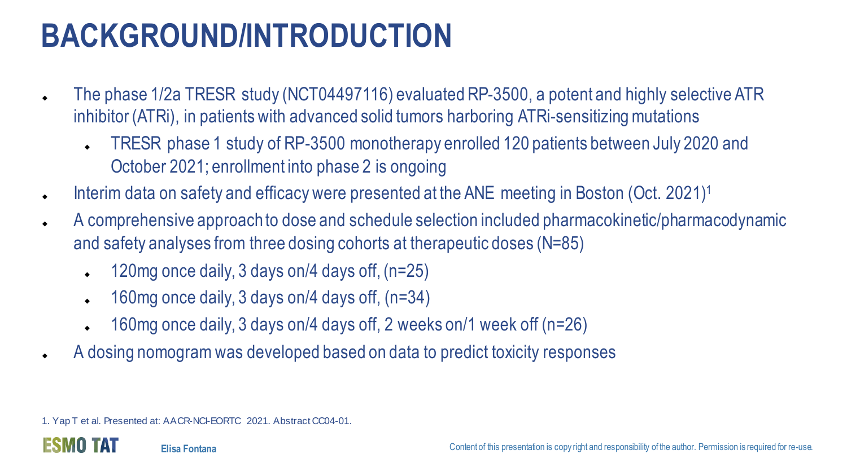# **BACKGROUND/INTRODUCTION**

- The phase 1/2a TRESR study (NCT04497116) evaluated RP-3500, a potent and highly selective ATR inhibitor (ATRi), in patients with advanced solid tumors harboring ATRi-sensitizing mutations
	- TRESR phase 1 study of RP-3500 monotherapy enrolled 120 patients between July 2020 and October 2021; enrollment into phase 2 is ongoing
- Interim data on safety and efficacy were presented at the ANE meeting in Boston (Oct. 2021)<sup>1</sup>
- A comprehensive approach to dose and schedule selection included pharmacokinetic/pharmacodynamic and safety analyses from three dosing cohorts at therapeutic doses (N=85)
	- $\leftarrow$  120mg once daily, 3 days on/4 days off, (n=25)
	- $\leftarrow$  160mg once daily, 3 days on/4 days off, (n=34)
	- 160mg once daily, 3 days on/4 days off, 2 weeks on/1 week off (n=26)
- A dosing nomogram was developed based on data to predict toxicity responses

1. Yap T et al. Presented at: AACR-NCI-EORTC 2021. Abstract CC04-01.

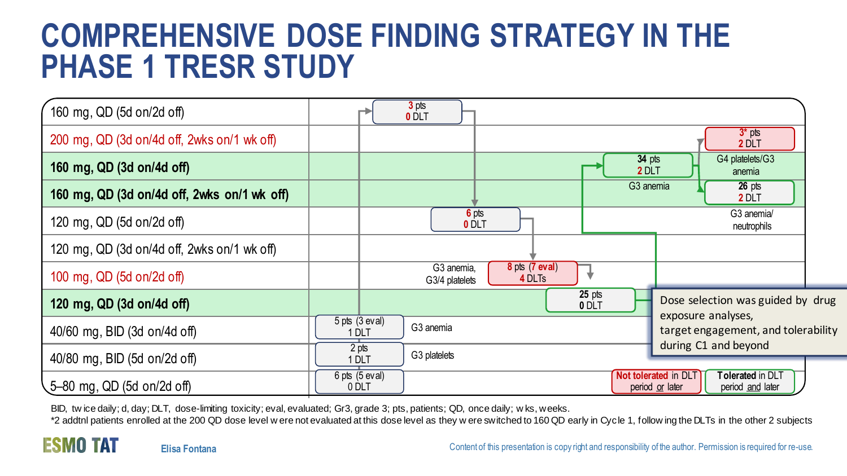## **COMPREHENSIVE DOSE FINDING STRATEGY IN THE PHASE 1 TRESR STUDY**

| 160 mg, QD (5d on/2d off)                   |                             | 3 <sub>pts</sub><br>0 DLT    |                              |                   |                       |                                                                                        |  |
|---------------------------------------------|-----------------------------|------------------------------|------------------------------|-------------------|-----------------------|----------------------------------------------------------------------------------------|--|
| 200 mg, QD (3d on/4d off, 2wks on/1 wk off) |                             |                              |                              |                   |                       | $3*$ pts<br>2 DLT                                                                      |  |
| 160 mg, QD (3d on/4d off)                   |                             |                              |                              |                   | $34$ pts<br>2 DLT     | G4 platelets/G3<br>anemia                                                              |  |
| 160 mg, QD (3d on/4d off, 2wks on/1 wk off) |                             |                              |                              |                   | G <sub>3</sub> anemia | $26$ pts<br>2 DLT                                                                      |  |
| 120 mg, QD (5d on/2d off)                   |                             |                              | 6 pts<br>0 DLT               |                   |                       | G3 anemia/<br>neutrophils                                                              |  |
| 120 mg, QD (3d on/4d off, 2wks on/1 wk off) |                             |                              |                              |                   |                       |                                                                                        |  |
| 100 mg, QD (5d on/2d off)                   |                             | G3 anemia,<br>G3/4 platelets | $8$ pts $(7$ eval)<br>4 DLTs |                   |                       |                                                                                        |  |
| 120 mg, QD (3d on/4d off)                   |                             |                              |                              | $25$ pts<br>0 DLT |                       | Dose selection was guided by drug                                                      |  |
| 40/60 mg, BID (3d on/4d off)                | $5$ pts $(3$ eval)<br>1 DLT | G3 anemia                    |                              |                   |                       | exposure analyses,<br>target engagement, and tolerability                              |  |
| 40/80 mg, BID (5d on/2d off)                | 2 pts<br>1 DLT              | G3 platelets                 |                              |                   |                       | during C1 and beyond                                                                   |  |
| 5-80 mg, QD (5d on/2d off)                  | $6$ pts $(5$ eval)<br>0 DLT |                              |                              |                   |                       | Not tolerated in DLT<br><b>Tolerated</b> in DLT<br>period or later<br>period and later |  |

BID, tw ice daily; d, day; DLT, dose-limiting toxicity; eval, evaluated; Gr3, grade 3; pts, patients; QD, once daily; w ks, weeks.

\*2 addtnl patients enrolled at the 200 QD dose level w ere not evaluated at this dose level as they w ere switched to 160 QD early in Cycle 1, follow ing the DLTs in the other 2 subjects

**ESMO TAT**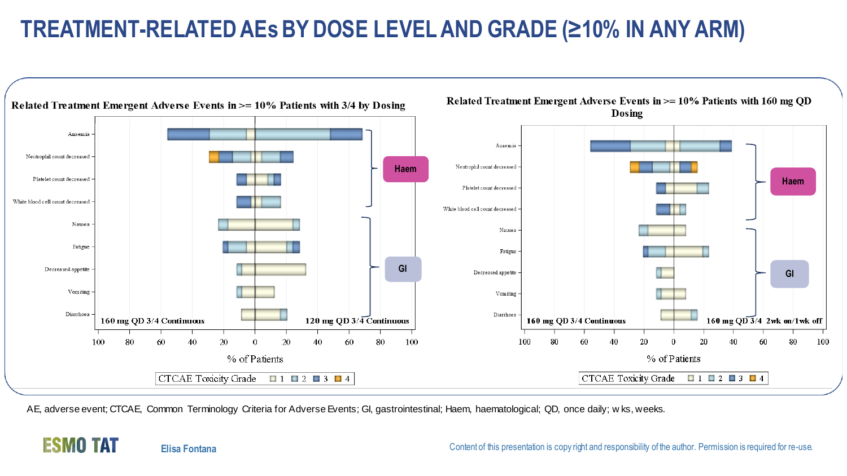## **TREATMENT-RELATED AEsBY DOSE LEVEL AND GRADE (≥10% IN ANY ARM)**



AE, adverse event; CTCAE, Common Terminology Criteria for Adverse Events; GI, gastrointestinal; Haem, haematological; QD, once daily; w ks, weeks.

#### **ESMO TAT**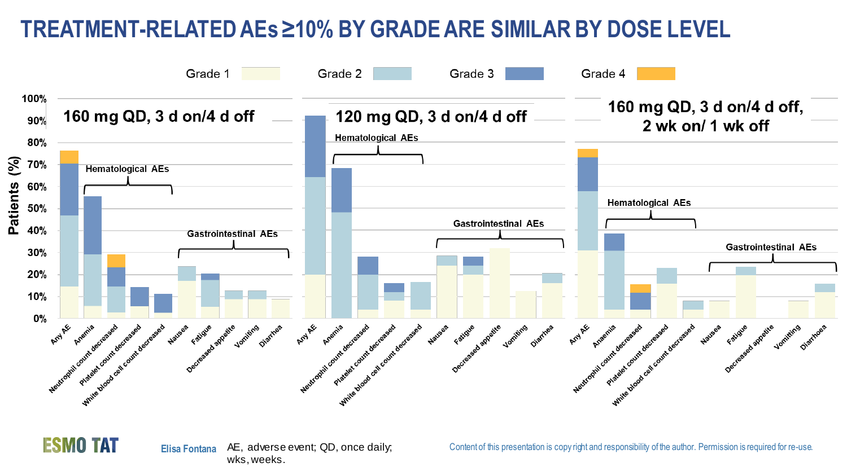#### **TREATMENT-RELATED AEs≥10% BY GRADE ARE SIMILAR BY DOSE LEVEL**





**Elisa Fontana** AE, adverse event; QD, once daily; wks, weeks.

Content of this presentation is copy right and responsibility of the author. Permission is required for re-use.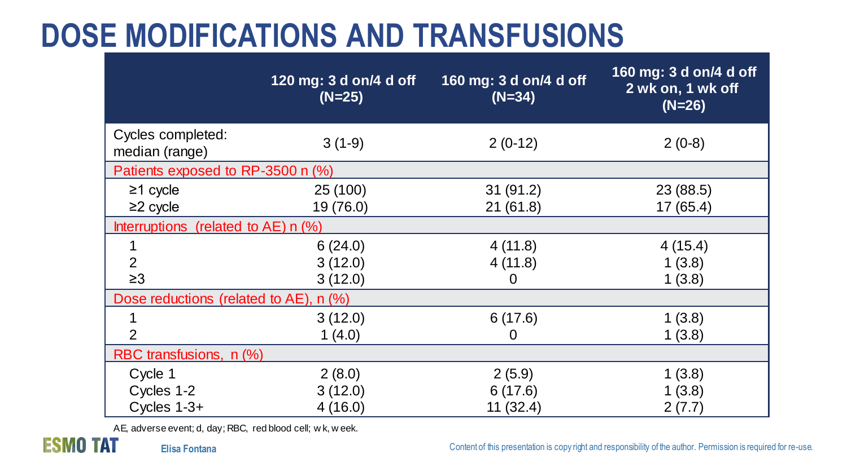## **DOSE MODIFICATIONS AND TRANSFUSIONS**

|                                                    | 120 mg: 3 d on/4 d off<br>$(N=25)$ | 160 mg: 3 d on/4 d off<br>$(N=34)$ | 160 mg: 3 d on/4 d off<br>2 wk on, 1 wk off<br>$(N=26)$ |  |  |  |  |  |  |
|----------------------------------------------------|------------------------------------|------------------------------------|---------------------------------------------------------|--|--|--|--|--|--|
| Cycles completed:<br>median (range)                | $3(1-9)$                           | $2(0-12)$                          | $2(0-8)$                                                |  |  |  |  |  |  |
| Patients exposed to RP-3500 n (%)                  |                                    |                                    |                                                         |  |  |  |  |  |  |
| $\geq$ 1 cycle<br>$\geq$ 2 cycle                   | 25 (100)<br>19 (76.0)              | 31(91.2)<br>21(61.8)               | 23 (88.5)<br>17(65.4)                                   |  |  |  |  |  |  |
| Interruptions (related to $AE$ ) n $(\%)$          |                                    |                                    |                                                         |  |  |  |  |  |  |
| 2                                                  | 6(24.0)<br>3(12.0)                 | 4(11.8)<br>4(11.8)                 | 4(15.4)<br>1(3.8)                                       |  |  |  |  |  |  |
| $\geq 3$<br>Dose reductions (related to AE), n (%) | 3(12.0)                            | 0                                  | 1(3.8)                                                  |  |  |  |  |  |  |
| 2                                                  | 3(12.0)<br>1(4.0)                  | 6(17.6)<br>0                       | 1(3.8)<br>1(3.8)                                        |  |  |  |  |  |  |
| RBC transfusions, n (%)                            |                                    |                                    |                                                         |  |  |  |  |  |  |
| Cycle 1<br>Cycles 1-2<br>Cycles $1-3+$             | 2(8.0)<br>3(12.0)<br>4(16.0)       | 2(5.9)<br>6(17.6)<br>11(32.4)      | 1(3.8)<br>1(3.8)<br>2(7.7)                              |  |  |  |  |  |  |

AE, adverse event; d, day; RBC, red blood cell; w k, w eek.

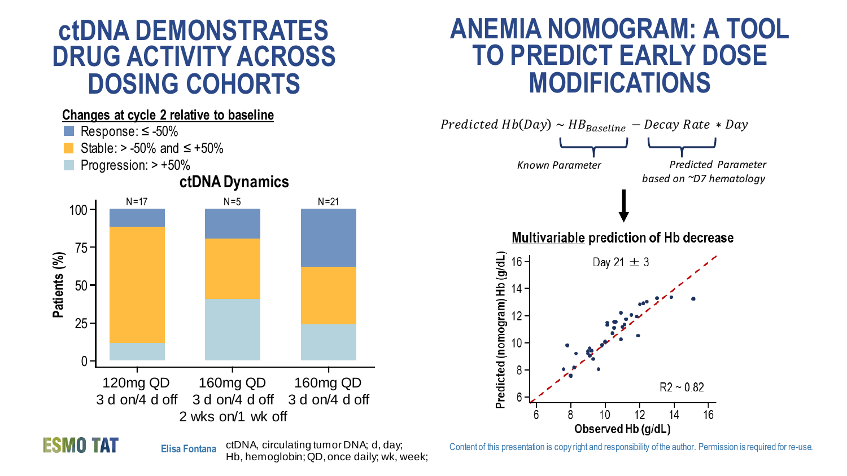## **ctDNA DEMONSTRATES DRUG ACTIVITY ACROSS DOSING COHORTS**

#### **Changes at cycle 2 relative to baseline**

- Response: ≤ -50%
- Stable:  $>$  -50% and ≤ +50%
- Progression: > +50%



## **ANEMIA NOMOGRAM: A TOOL TO PREDICT EARLY DOSE MODIFICATIONS**



**ESMO TAT** 

**Elisa Fontana** ctDNA, circulating tumor DNA; d, day; Hb, hemoglobin; QD, once daily; wk, week;

Content of this presentation is copy right and responsibility of the author. Permission is required for re-use.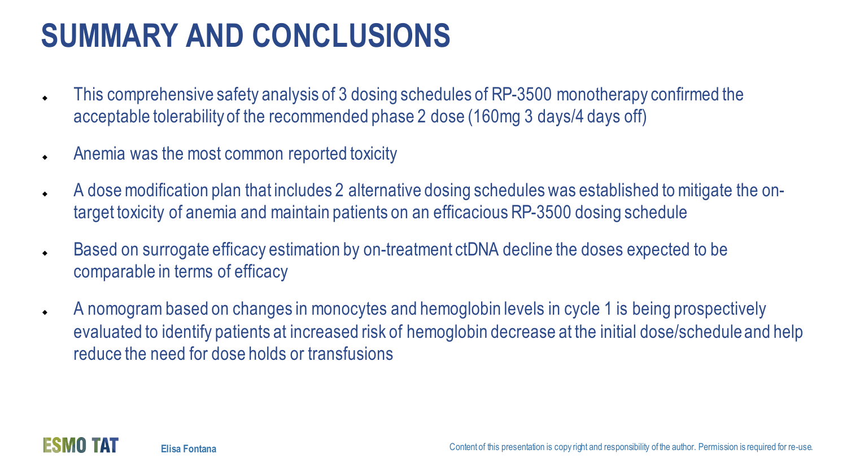# **SUMMARY AND CONCLUSIONS**

- This comprehensive safety analysis of 3 dosing schedules of RP-3500 monotherapy confirmed the acceptable tolerability of the recommended phase 2 dose (160mg 3 days/4 days off)
- Anemia was the most common reported toxicity
- A dose modification plan that includes 2 alternative dosing schedules was established to mitigate the ontarget toxicity of anemia and maintain patients on an efficacious RP-3500 dosing schedule
- ◆ Based on surrogate efficacy estimation by on-treatment ctDNA decline the doses expected to be comparable in terms of efficacy
- A nomogram based on changes in monocytes and hemoglobin levels in cycle 1 is being prospectively evaluated to identify patients at increased risk of hemoglobin decrease at the initial dose/schedule and help reduce the need for dose holds or transfusions

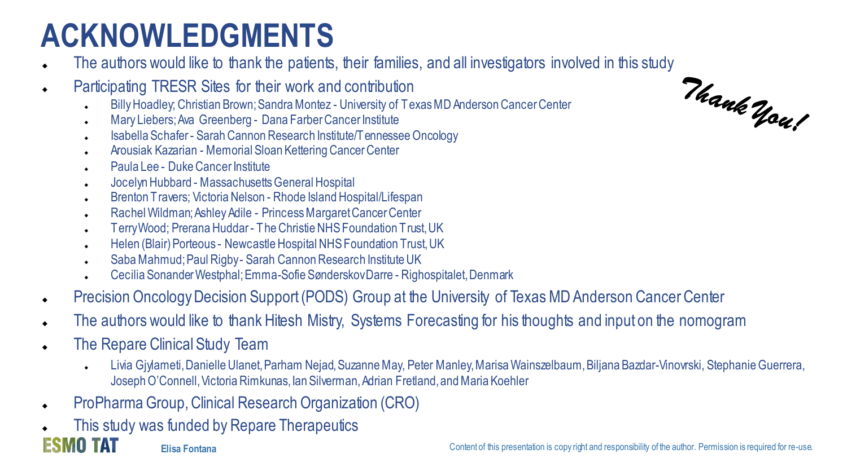# **ACKNOWLEDGMENTS**

- The authors would like to thank the patients, their families, and all investigators involved in this study<br>Participating TRESR Sites for their work and contribution<br>Fig. 1996 Christian Brown: Sandra Montez University of
- Participating TRESR Sites for their work and contribution
	- ◆ Billy Hoadley; Christian Brown; Sandra Montez University of Texas MD Anderson Cancer Center
	- Mary Liebers; Ava Greenberg Dana Farber Cancer Institute
	- ◆ Isabella Schafer Sarah Cannon Research Institute/Tennessee Oncology
	- ◆ Arousiak Kazarian Memorial Sloan Kettering Cancer Center
	- ◆ Paula Lee Duke Cancer Institute
	- ◆ Jocelyn Hubbard Massachusetts General Hospital
	- ◆ Brenton Travers; Victoria Nelson Rhode Island Hospital/Lifespan
	- ◆ Rachel Wildman: Ashley Adile Princess Margaret Cancer Center
	- ◆ Terry Wood; Prerana Huddar The Christie NHS Foundation Trust, UK
	- ◆ Helen (Blair) Porteous Newcastle Hospital NHS Foundation Trust, UK
	- Saba Mahmud; Paul Rigby Sarah Cannon Research Institute UK
	- Cecilia Sonander Westphal; Emma-Sofie Sønderskov Darre Righospitalet, Denmark
- **Precision Oncology Decision Support (PODS) Group at the University of Texas MD Anderson Cancer Center**
- The authors would like to thank Hitesh Mistry, Systems Forecasting for his thoughts and input on the nomogram
- The Repare Clinical Study Team
	- Livia Giylameti, Danielle Ulanet, Parham Nejad, Suzanne May, Peter Manley, Marisa Wainszelbaum, Biljana Bazdar-Vinovrski, Stephanie Guerrera, Joseph O'Connell, Victoria Rimkunas, Ian Silverman, Adrian Fretland, and Maria Koehler
- ◆ ProPharma Group, Clinical Research Organization (CRO)
- This study was funded by Repare Therapeutics

ESMO TAT